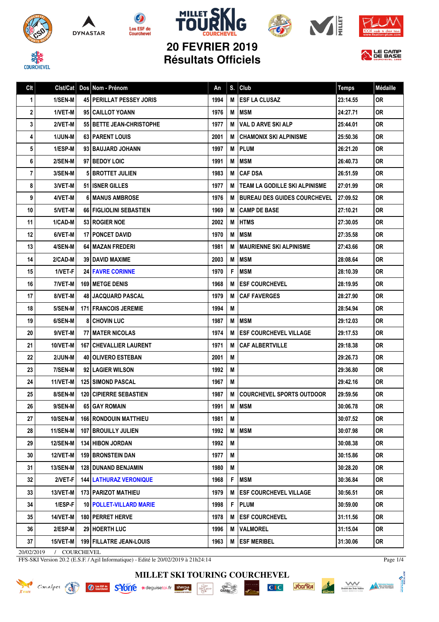









ALE CAMP

信

## **20 FEVRIER 2019 Résultats Officiels**

Clt Clst/Cat Dos Nom - Prénom **An S. Club** An S. Club Temps Médaille

| 1              | 1/SEN-M         | <b>45   PERILLAT PESSEY JORIS</b> | 1994 |   | <b>M LESF LA CLUSAZ</b>              | 23:14.55  | <b>OR</b> |
|----------------|-----------------|-----------------------------------|------|---|--------------------------------------|-----------|-----------|
| $\mathbf{2}$   | 1/VET-M         | 95 CAILLOT YOANN                  | 1976 | M | <b>IMSM</b>                          | 24:27.71  | <b>OR</b> |
| 3              | 2/VET-M         | 55 BETTE JEAN-CHRISTOPHE          | 1977 | м | i VAL D ARVE SKI ALP                 | 25:44.01  | 0R        |
| 4              | 1/JUN-M         | <b>63   PARENT LOUIS</b>          | 2001 | M | <b>CHAMONIX SKI ALPINISME</b>        | 25:50.36  | OR        |
| 5 <sup>1</sup> | 1/ESP-M         | 93 BAUJARD JOHANN                 | 1997 | M | <b>IPLUM</b>                         | 26:21.20  | 0R        |
| 6              | 2/SEN-M         | 97 BEDOY LOIC                     | 1991 | M | <b>MSM</b>                           | 26:40.73  | OR        |
| $\overline{7}$ | 3/SEN-M         | <b>5 BROTTET JULIEN</b>           | 1983 | M | <b>CAF DSA</b>                       | 26:51.59  | OR        |
| 8              | 3/VET-M         | 51 I ISNER GILLES                 | 1977 | M | <b>TEAM LA GODILLE SKI ALPINISME</b> | 27:01.99  | 0R        |
| 9              | 4/VET-M         | <b>61 MANUS AMBROSE</b>           | 1976 | M | <b>IBUREAU DES GUIDES COURCHEVEL</b> | 127:09.52 | <b>OR</b> |
| 10             | 5/VET-M         | <b>66 FIGLIOLINI SEBASTIEN</b>    | 1969 | M | <b>CAMP DE BASE</b>                  | 27:10.21  | <b>OR</b> |
| 11             | 1/CAD-M         | 53 ROGIER NOE                     | 2002 | М | <b>IHTMS</b>                         | 27:30.05  | OR        |
| 12             | 6/VET-M         | <b>17 I PONCET DAVID</b>          | 1970 | M | <b>MSM</b>                           | 27:35.58  | 0R        |
| 13             | 4/SEN-M         | <b>64   MAZAN FREDERI</b>         | 1981 | м | I MAURIENNE SKI ALPINISME            | 27:43.66  | 0R        |
| 14             | 2/CAD-M         | <b>39 I DAVID MAXIME</b>          | 2003 | M | <b>MSM</b>                           | 28:08.64  | 0R        |
| 15             | 1/VET-F         | <b>24 FAVRE CORINNE</b>           | 1970 | F | <b>MSM</b>                           | 28:10.39  | <b>OR</b> |
| 16             | 7/VET-M         | <b>169 IMETGE DENIS</b>           | 1968 | м | <b>IESF COURCHEVEL</b>               | 28:19.95  | 0R        |
| 17             | 8/VET-M         | <b>48 JACQUARD PASCAL</b>         | 1979 | M | <b>CAF FAVERGES</b>                  | 28:27.90  | OR        |
| 18             | 5/SEN-M         | <b>171   FRANCOIS JEREMIE</b>     | 1994 | М |                                      | 28:54.94  | 0R        |
| 19             | 6/SEN-M         | <b>81 CHOVIN LUC</b>              | 1987 | M | <b>MSM</b>                           | 29:12.03  | OR        |
| 20             | 9/VET-M         | <b>77 I MATER NICOLAS</b>         | 1974 | м | <b>IESF COURCHEVEL VILLAGE</b>       | 29:17.53  | 0R        |
| 21             | 10/VET-M        | <b>167   CHEVALLIER LAURENT</b>   | 1971 | М | <b>CAF ALBERTVILLE</b>               | 29:18.38  | <b>OR</b> |
| 22             | 2/JUN-M         | <b>40   OLIVERO ESTEBAN</b>       | 2001 | M |                                      | 29:26.73  | 0R        |
| 23             | 7/SEN-M         | 92 LAGIER WILSON                  | 1992 | M |                                      | 29:36.80  | <b>OR</b> |
| 24             | 11/VET-M        | <b>125 SIMOND PASCAL</b>          | 1967 | М |                                      | 29:42.16  | 0R        |
| 25             | 8/SEN-M         | <b>120 CIPIERRE SEBASTIEN</b>     | 1987 | M | <b>COURCHEVEL SPORTS OUTDOOR</b>     | 29:59.56  | 0R        |
| 26             | 9/SEN-M         | 65 GAY ROMAIN                     | 1991 | M | <b>MSM</b>                           | 30:06.78  | <b>OR</b> |
| 27             | <b>10/SEN-M</b> | <b>166 RONDOUIN MATTHIEU</b>      | 1981 | M |                                      | 30:07.52  | OR        |
| 28             | 11/SEN-M        | 107 BROUILLY JULIEN               | 1992 |   | <b>M</b> MSM                         | 30:07.98  | 0R        |
| 29             | <b>12/SEN-M</b> | <b>134 HIBON JORDAN</b>           | 1992 | M |                                      | 30:08.38  | OR        |
| 30             | 12/VET-M        | <b>159 BRONSTEIN DAN</b>          | 1977 | M |                                      | 30:15.86  | OR.       |
| 31             | <b>13/SEN-M</b> | <b>128   DUNAND BENJAMIN</b>      | 1980 | M |                                      | 30:28.20  | 0R.       |
| 32             | 2/VET-F         | <b>144   LATHURAZ VERONIQUE</b>   | 1968 | F | <b>MSM</b>                           | 30:36.84  | <b>OR</b> |
| 33             | 13/VET-M        | <b>173   PARIZOT MATHIEU</b>      | 1979 | M | <b>IESF COURCHEVEL VILLAGE</b>       | 30:56.51  | OR.       |
| 34             | 1/ESP-F         | 10   POLLET-VILLARD MARIE         | 1998 | F | <b>PLUM</b>                          | 30:59.00  | OR.       |
| 35             | 14/VET-M        | <b>180   PERRET HERVE</b>         | 1978 | M | <b>ESF COURCHEVEL</b>                | 31:11.56  | OR.       |
| 36             | 2/ESP-M         | 29 HOERTH LUC                     | 1996 | M | <b>VALMOREL</b>                      | 31:15.04  | 0R.       |
| 37             | 15/VET-M        | <b>199   FILLATRE JEAN-LOUIS</b>  | 1963 | M | <b>ESF MERIBEL</b>                   | 31:30.06  | OR        |

20/02/2019 / COURCHEVEL

FFS-SKI Version 20.2 (E.S.F. / Agil Informatique) - Edité le 20/02/2019 à 21h24:14

Page 1/4

**THOME?** 





 $\frac{\text{chez}}{\text{Gauloig}}$  $\cdot \underset{\mathbf{P}}{\underset{\mathbf{P}}{\text{L}}}\underset{\mathbf{P}}{\underset{\mathbf{P}}{\text{L}}}\underset{\mathbf{P}}{\underset{\mathbf{P}}{\text{L}}}\underset{\mathbf{P}}{\underset{\mathbf{P}}{\text{L}}}\underset{\mathbf{P}}{\text{L}}\underset{\mathbf{P}}{\text{L}}$ 

 $C<sub>1</sub>C$ 



Société des Trois Vallées<br>Société des Trois Vallées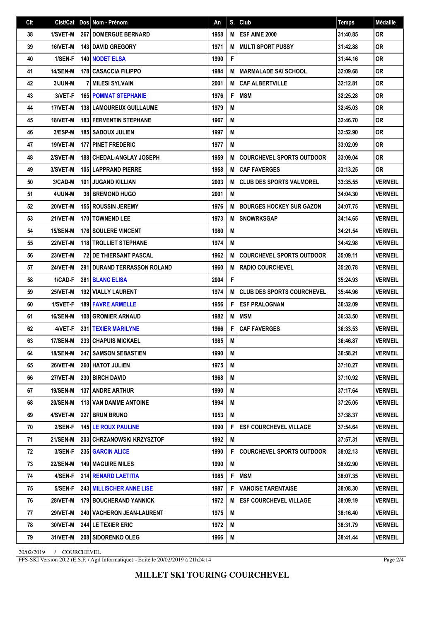| Clt | Clst/Cat        | Dos Nom - Prénom                     | An   | S. | Club                              | <b>Temps</b> | Médaille       |
|-----|-----------------|--------------------------------------|------|----|-----------------------------------|--------------|----------------|
| 38  | 1/SVET-M        | <b>267   DOMERGUE BERNARD</b>        | 1958 | M  | ESF AIME 2000                     | 31:40.85     | <b>OR</b>      |
| 39  | 16/VET-M        | <b>143 DAVID GREGORY</b>             | 1971 | M  | <b>MULTI SPORT PUSSY</b>          | 31:42.88     | <b>OR</b>      |
| 40  | 1/SEN-F         | <b>140 NODET ELSA</b>                | 1990 | F  |                                   | 31:44.16     | <b>OR</b>      |
| 41  | <b>14/SEN-M</b> | <b>178 CASACCIA FILIPPO</b>          | 1984 | M  | <b>MARMALADE SKI SCHOOL</b>       | 32:09.68     | <b>OR</b>      |
| 42  | 3/JUN-M         | 7   MILESI SYLVAIN                   | 2001 | M  | <b>CAF ALBERTVILLE</b>            | 32:12.81     | <b>OR</b>      |
| 43  | 3/VET-F         | <b>165 POMMAT STEPHANIE</b>          | 1976 | F  | <b>MSM</b>                        | 32:25.28     | 0R             |
| 44  | 17/VET-M        | 138   LAMOUREUX GUILLAUME            | 1979 | M  |                                   | 32:45.03     | <b>OR</b>      |
| 45  | 18/VET-M        | <b>183 FERVENTIN STEPHANE</b>        | 1967 | M  |                                   | 32:46.70     | <b>OR</b>      |
| 46  | 3/ESP-M         | <b>185 SADOUX JULIEN</b>             | 1997 | M  |                                   | 32:52.90     | <b>OR</b>      |
| 47  | 19/VET-M        | <b>177 PINET FREDERIC</b>            | 1977 | M  |                                   | 33:02.09     | <b>OR</b>      |
| 48  | 2/SVET-M        | <b>188   CHEDAL-ANGLAY JOSEPH</b>    | 1959 | M  | <b>COURCHEVEL SPORTS OUTDOOR</b>  | 33:09.04     | <b>OR</b>      |
| 49  | 3/SVET-M        | <b>105 LAPPRAND PIERRE</b>           | 1958 | M  | <b>CAF FAVERGES</b>               | 33:13.25     | <b>OR</b>      |
| 50  | 3/CAD-M         | <b>101 JUGAND KILLIAN</b>            | 2003 | М  | <b>CLUB DES SPORTS VALMOREL</b>   | 33:35.55     | <b>VERMEIL</b> |
| 51  | 4/JUN-M         | <b>38 BREMOND HUGO</b>               | 2001 | M  |                                   | 34:04.30     | <b>VERMEIL</b> |
| 52  | 20/VET-M        | <b>155 ROUSSIN JEREMY</b>            | 1976 | M  | <b>BOURGES HOCKEY SUR GAZON</b>   | 34:07.75     | <b>VERMEIL</b> |
| 53  | 21/VET-M        | <b>170 TOWNEND LEE</b>               | 1973 | M  | <b>SNOWRKSGAP</b>                 | 34:14.65     | <b>VERMEIL</b> |
| 54  | <b>15/SEN-M</b> | 176 SOULERE VINCENT                  | 1980 | M  |                                   | 34:21.54     | <b>VERMEIL</b> |
| 55  | 22/VET-M        | <b>118 TROLLIET STEPHANE</b>         | 1974 | M  |                                   | 34:42.98     | <b>VERMEIL</b> |
| 56  | <b>23/VET-M</b> | <b>72 IDE THIERSANT PASCAL</b>       | 1962 | M  | <b>COURCHEVEL SPORTS OUTDOOR</b>  | 35:09.11     | <b>VERMEIL</b> |
| 57  | 24/VET-M        | <b>291 I DURAND TERRASSON ROLAND</b> | 1960 | M  | <b>RADIO COURCHEVEL</b>           | 35:20.78     | <b>VERMEIL</b> |
| 58  | 1/CAD-F         | 281 BLANC ELISA                      | 2004 | F  |                                   | 35:24.93     | <b>VERMEIL</b> |
| 59  | 25/VET-M        | 192 VIALLY LAURENT                   | 1974 | M  | <b>CLUB DES SPORTS COURCHEVEL</b> | 35:44.96     | <b>VERMEIL</b> |
| 60  | 1/SVET-F        | <b>189   FAVRE ARMELLE</b>           | 1956 | F  | <b>ESF PRALOGNAN</b>              | 36:32.09     | <b>VERMEIL</b> |
| 61  | 16/SEN-M        | 108 GROMIER ARNAUD                   | 1982 | M  | <b>MSM</b>                        | 36:33.50     | <b>VERMEIL</b> |
| 62  | 4/VET-F         | 231 TEXIER MARILYNE                  | 1966 | F  | <b>CAF FAVERGES</b>               | 36:33.53     | <b>VERMEIL</b> |
| 63  | <b>17/SEN-M</b> | 233 CHAPUIS MICKAEL                  | 1985 | M  |                                   | 36:46.87     | <b>VERMEIL</b> |
| 64  | <b>18/SEN-M</b> | 247 SAMSON SEBASTIEN                 | 1990 | M  |                                   | 36:58.21     | <b>VERMEIL</b> |
| 65  | 26/VET-M        | 260 HATOT JULIEN                     | 1975 | M  |                                   | 37:10.27     | <b>VERMEIL</b> |
| 66  | 27/VET-M        | 230 BIRCH DAVID                      | 1968 | M  |                                   | 37:10.92     | <b>VERMEIL</b> |
| 67  | 19/SEN-M        | 137 ANDRE ARTHUR                     | 1990 | M  |                                   | 37:17.64     | <b>VERMEIL</b> |
| 68  | 20/SEN-M        | <b>113 VAN DAMME ANTOINE</b>         | 1994 | M  |                                   | 37:25.05     | <b>VERMEIL</b> |
| 69  | 4/SVET-M        | <b>227 BRUN BRUNO</b>                | 1953 | М  |                                   | 37:38.37     | <b>VERMEIL</b> |
| 70  | 2/SEN-F         | <b>145 LE ROUX PAULINE</b>           | 1990 | F  | <b>ESF COURCHEVEL VILLAGE</b>     | 37:54.64     | <b>VERMEIL</b> |
| 71  | <b>21/SEN-M</b> | 203 CHRZANOWSKI KRZYSZTOF            | 1992 | M  |                                   | 37:57.31     | <b>VERMEIL</b> |
| 72  | 3/SEN-F         | 235 GARCIN ALICE                     | 1990 | F  | <b>COURCHEVEL SPORTS OUTDOOR</b>  | 38:02.13     | <b>VERMEIL</b> |
| 73  | <b>22/SEN-M</b> | <b>149   MAGUIRE MILES</b>           | 1990 | M  |                                   | 38:02.90     | <b>VERMEIL</b> |
| 74  | 4/SEN-F         | 214 RENARD LAETITIA                  | 1985 | F  | <b>MSM</b>                        | 38:07.35     | <b>VERMEIL</b> |
| 75  | 5/SEN-F         | <b>243 MILLISCHER ANNE LISE</b>      | 1987 | F  | <b>VANOISE TARENTAISE</b>         | 38:08.30     | <b>VERMEIL</b> |
| 76  | 28/VET-M        | 179 BOUCHERAND YANNICK               | 1972 | M  | <b>ESF COURCHEVEL VILLAGE</b>     | 38:09.19     | <b>VERMEIL</b> |
| 77  | <b>29/VET-M</b> | <b>240   VACHERON JEAN-LAURENT</b>   | 1975 | M  |                                   | 38:16.40     | <b>VERMEIL</b> |
| 78  | 30/VET-M        | <b>244 LE TEXIER ERIC</b>            | 1972 | M  |                                   | 38:31.79     | VERMEIL        |
| 79  | 31/VET-M        | 208 SIDORENKO OLEG                   | 1966 | M  |                                   | 38:41.44     | <b>VERMEIL</b> |

20/02/2019 / COURCHEVEL

FFS-SKI Version 20.2 (E.S.F. / Agil Informatique) - Edité le 20/02/2019 à 21h24:14

Page 2/4

**MILLET SKI TOURING COURCHEVEL**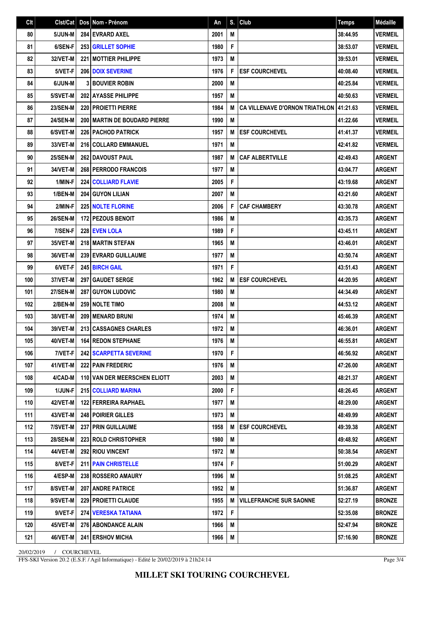| Clt |                 |     | Cist/Cat   Dos   Nom - Prénom         | An   | S. | $ $ Club                                | <b>Temps</b> | <b>Médaille</b> |
|-----|-----------------|-----|---------------------------------------|------|----|-----------------------------------------|--------------|-----------------|
| 80  | 5/JUN-M         |     | <b>284 EVRARD AXEL</b>                | 2001 | M  |                                         | 38:44.95     | <b>VERMEIL</b>  |
| 81  | 6/SEN-F         |     | <b>253 GRILLET SOPHIE</b>             | 1980 | F  |                                         | 38:53.07     | <b>VERMEIL</b>  |
| 82  | 32/VET-M        |     | <b>221 MOTTIER PHILIPPE</b>           | 1973 | M  |                                         | 39:53.01     | <b>VERMEIL</b>  |
| 83  | 5/VET-F         |     | <b>206 DOIX SEVERINE</b>              | 1976 | F  | <b>ESF COURCHEVEL</b>                   | 40:08.40     | <b>VERMEIL</b>  |
| 84  | 6/JUN-M         |     | <b>3 BOUVIER ROBIN</b>                | 2000 | M  |                                         | 40:25.84     | <b>VERMEIL</b>  |
| 85  | 5/SVET-M        |     | <b>202 AYASSE PHILIPPE</b>            | 1957 | М  |                                         | 40:50.63     | <b>VERMEIL</b>  |
| 86  | <b>23/SEN-M</b> |     | 220 PROJETTI PIERRE                   | 1984 | M  | CA VILLENAVE D'ORNON TRIATHLON 41:21.63 |              | <b>VERMEIL</b>  |
| 87  | <b>24/SEN-M</b> |     | <b>200   MARTIN DE BOUDARD PIERRE</b> | 1990 | M  |                                         | 41:22.66     | <b>VERMEIL</b>  |
| 88  | 6/SVET-M        |     | <b>226 PACHOD PATRICK</b>             | 1957 | M  | <b>ESF COURCHEVEL</b>                   | 41:41.37     | <b>VERMEIL</b>  |
| 89  | 33/VET-M        |     | 216 COLLARD EMMANUEL                  | 1971 | M  |                                         | 42:41.82     | <b>VERMEIL</b>  |
| 90  | <b>25/SEN-M</b> |     | 262 DAVOUST PAUL                      | 1987 | M  | <b>CAF ALBERTVILLE</b>                  | 42:49.43     | <b>ARGENT</b>   |
| 91  | 34/VET-M        |     | 268 PERRODO FRANCOIS                  | 1977 | M  |                                         | 43:04.77     | <b>ARGENT</b>   |
| 92  | 1/MIN-F         |     | 224 COLLIARD FLAVIE                   | 2005 | F  |                                         | 43:19.68     | <b>ARGENT</b>   |
| 93  | 1/BEN-M         |     | 204 GUYON LILIAN                      | 2007 | M  |                                         | 43:21.60     | <b>ARGENT</b>   |
| 94  | 2/MIN-F         |     | <b>225 NOLTE FLORINE</b>              | 2006 | F  | <b>CAF CHAMBERY</b>                     | 43:30.78     | <b>ARGENT</b>   |
| 95  | <b>26/SEN-M</b> |     | <b>172 PEZOUS BENOIT</b>              | 1986 | M  |                                         | 43:35.73     | <b>ARGENT</b>   |
| 96  | 7/SEN-F         |     | <b>228 EVEN LOLA</b>                  | 1989 | F  |                                         | 43:45.11     | <b>ARGENT</b>   |
| 97  | 35/VET-M        |     | 218 MARTIN STEFAN                     | 1965 | M  |                                         | 43:46.01     | <b>ARGENT</b>   |
| 98  | 36/VET-M        |     | <b>239 EVRARD GUILLAUME</b>           | 1977 | M  |                                         | 43:50.74     | <b>ARGENT</b>   |
| 99  | 6/VET-F         |     | 245 BIRCH GAIL                        | 1971 | F  |                                         | 43:51.43     | <b>ARGENT</b>   |
| 100 | 37/VET-M        |     | 297   GAUDET SERGE                    | 1962 | M  | <b>ESF COURCHEVEL</b>                   | 44:20.95     | <b>ARGENT</b>   |
| 101 | <b>27/SEN-M</b> | 287 | <b>GUYON LUDOVIC</b>                  | 1980 | M  |                                         | 44:34.49     | ARGENT          |
| 102 | 2/BEN-M         |     | <b>259 INOLTE TIMO</b>                | 2008 | M  |                                         | 44:53.12     | <b>ARGENT</b>   |
| 103 | 38/VET-M        |     | <b>209 MENARD BRUNI</b>               | 1974 | M  |                                         | 45:46.39     | <b>ARGENT</b>   |
| 104 | 39/VET-M        |     | 213 CASSAGNES CHARLES                 | 1972 | M  |                                         | 46:36.01     | <b>ARGENT</b>   |
| 105 | 40/VET-M        |     | <b>164 REDON STEPHANE</b>             | 1976 | M  |                                         | 46:55.81     | <b>ARGENT</b>   |
| 106 | 7/VET-F         |     | 242 SCARPETTA SEVERINE                | 1970 | F  |                                         | 46:56.92     | <b>ARGENT</b>   |
| 107 | 41/VET-M        |     | 222 PAIN FREDERIC                     | 1976 | М  |                                         | 47:26.00     | <b>ARGENT</b>   |
| 108 | 4/CAD-M         |     | 110 VAN DER MEERSCHEN ELIOTT          | 2003 | M  |                                         | 48:21.37     | <b>ARGENT</b>   |
| 109 | 1/JUN-F         |     | 215 COLLIARD MARINA                   | 2000 | F  |                                         | 48:26.45     | <b>ARGENT</b>   |
| 110 | 42/VET-M        |     | <b>122 FERREIRA RAPHAEL</b>           | 1977 | M  |                                         | 48:29.00     | <b>ARGENT</b>   |
| 111 | 43/VET-M        |     | 248   POIRIER GILLES                  | 1973 | M  |                                         | 48:49.99     | <b>ARGENT</b>   |
| 112 | 7/SVET-M        |     | <b>237 PRIN GUILLAUME</b>             | 1958 | M  | <b>ESF COURCHEVEL</b>                   | 49:39.38     | <b>ARGENT</b>   |
| 113 | <b>28/SEN-M</b> |     | <b>223 ROLD CHRISTOPHER</b>           | 1980 | M  |                                         | 49:48.92     | <b>ARGENT</b>   |
| 114 | 44/VET-M        |     | <b>292 RIOU VINCENT</b>               | 1972 | M  |                                         | 50:38.54     | <b>ARGENT</b>   |
| 115 | 8/VET-F         |     | 211   PAIN CHRISTELLE                 | 1974 | F  |                                         | 51:00.29     | <b>ARGENT</b>   |
| 116 | 4/ESP-M         |     | 238 ROSSERO AMAURY                    | 1996 | M  |                                         | 51:08.25     | <b>ARGENT</b>   |
| 117 | 8/SVET-M        |     | 207 ANDRE PATRICE                     | 1952 | M  |                                         | 51:36.87     | <b>ARGENT</b>   |
| 118 | 9/SVET-M        |     | 229 PROJETTI CLAUDE                   | 1955 | M  | <b>VILLEFRANCHE SUR SAONNE</b>          | 52:27.19     | <b>BRONZE</b>   |
| 119 | 9/VET-F         |     | 274 VERESKA TATIANA                   | 1972 | F  |                                         | 52:35.08     | <b>BRONZE</b>   |
| 120 | 45/VET-M        |     | 276   ABONDANCE ALAIN                 | 1966 | M  |                                         | 52:47.94     | <b>BRONZE</b>   |
| 121 | 46/VET-M        |     | 241 ERSHOV MICHA                      | 1966 | M  |                                         | 57:16.90     | <b>BRONZE</b>   |

20/02/2019 / COURCHEVEL

FFS-SKI Version 20.2 (E.S.F. / Agil Informatique) - Edité le 20/02/2019 à 21h24:14

Page 3/4

**MILLET SKI TOURING COURCHEVEL**